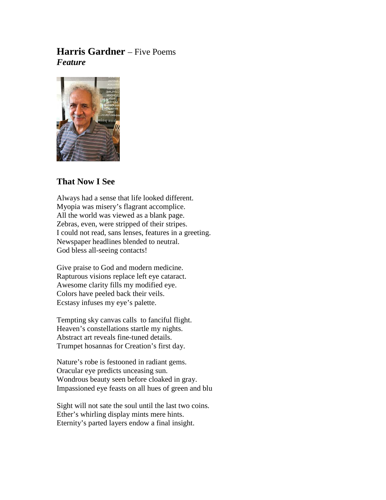# **Harris Gardner** – Five Poems *Feature*



# **That Now I See**

Always had a sense that life looked different. Myopia was misery's flagrant accomplice. All the world was viewed as a blank page. Zebras, even, were stripped of their stripes. I could not read, sans lenses, features in a greeting. Newspaper headlines blended to neutral. God bless all-seeing contacts!

Give praise to God and modern medicine. Rapturous visions replace left eye cataract. Awesome clarity fills my modified eye. Colors have peeled back their veils. Ecstasy infuses my eye's palette.

Tempting sky canvas calls to fanciful flight. Heaven's constellations startle my nights. Abstract art reveals fine-tuned details. Trumpet hosannas for Creation's first day.

Nature's robe is festooned in radiant gems. Oracular eye predicts unceasing sun. Wondrous beauty seen before cloaked in gray. Impassioned eye feasts on all hues of green and blu

Sight will not sate the soul until the last two coins. Ether's whirling display mints mere hints. Eternity's parted layers endow a final insight.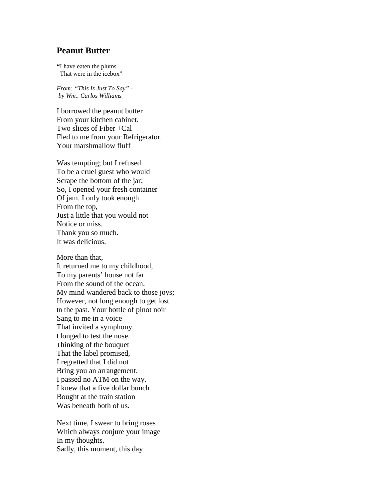#### **Peanut Butter**

**"**I have eaten the plums That were in the icebox"

*From: "This Is Just To Say" by Wm.. Carlos Williams*

I borrowed the peanut butter From your kitchen cabinet. Two slices of Fiber +Cal Fled to me from your Refrigerator. Your marshmallow fluff

Was tempting; but I refused To be a cruel guest who would Scrape the bottom of the jar; So, I opened your fresh container Of jam. I only took enough From the top, Just a little that you would not Notice or miss. Thank you so much. It was delicious.

More than that, It returned me to my childhood, To my parents' house not far From the sound of the ocean. My mind wandered back to those joys; However, not long enough to get lost In the past. Your bottle of pinot noir Sang to me in a voice That invited a symphony. I longed to test the nose. Thinking of the bouquet That the label promised, I regretted that I did not Bring you an arrangement. I passed no ATM on the way. I knew that a five dollar bunch Bought at the train station Was beneath both of us.

Next time, I swear to bring roses Which always conjure your image In my thoughts. Sadly, this moment, this day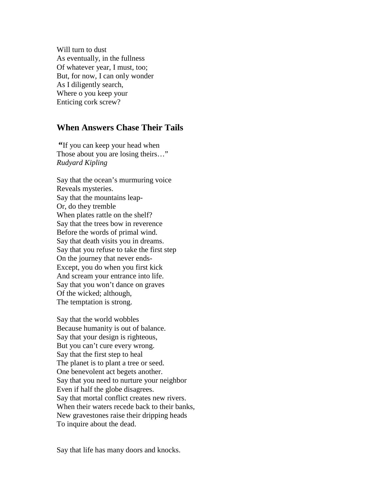Will turn to dust As eventually, in the fullness Of whatever year, I must, too; But, for now, I can only wonder As I diligently search, Where o you keep your Enticing cork screw?

# **When Answers Chase Their Tails**

**"**If you can keep your head when Those about you are losing theirs…" *Rudyard Kipling*

Say that the ocean's murmuring voice Reveals mysteries. Say that the mountains leap-Or, do they tremble When plates rattle on the shelf? Say that the trees bow in reverence Before the words of primal wind. Say that death visits you in dreams. Say that you refuse to take the first step On the journey that never ends-Except, you do when you first kick And scream your entrance into life. Say that you won't dance on graves Of the wicked; although, The temptation is strong.

Say that the world wobbles Because humanity is out of balance. Say that your design is righteous, But you can't cure every wrong. Say that the first step to heal The planet is to plant a tree or seed. One benevolent act begets another. Say that you need to nurture your neighbor Even if half the globe disagrees. Say that mortal conflict creates new rivers. When their waters recede back to their banks, New gravestones raise their dripping heads To inquire about the dead.

Say that life has many doors and knocks.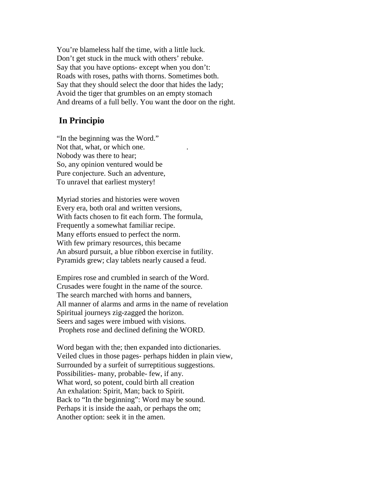You're blameless half the time, with a little luck. Don't get stuck in the muck with others' rebuke. Say that you have options- except when you don't: Roads with roses, paths with thorns. Sometimes both. Say that they should select the door that hides the lady; Avoid the tiger that grumbles on an empty stomach And dreams of a full belly. You want the door on the right.

### **In Principio**

"In the beginning was the Word." Not that, what, or which one. Nobody was there to hear; So, any opinion ventured would be Pure conjecture. Such an adventure, To unravel that earliest mystery!

Myriad stories and histories were woven Every era, both oral and written versions, With facts chosen to fit each form. The formula, Frequently a somewhat familiar recipe. Many efforts ensued to perfect the norm. With few primary resources, this became An absurd pursuit, a blue ribbon exercise in futility. Pyramids grew; clay tablets nearly caused a feud.

Empires rose and crumbled in search of the Word. Crusades were fought in the name of the source. The search marched with horns and banners, All manner of alarms and arms in the name of revelation Spiritual journeys zig-zagged the horizon. Seers and sages were imbued with visions. Prophets rose and declined defining the WORD.

Word began with the; then expanded into dictionaries. Veiled clues in those pages- perhaps hidden in plain view, Surrounded by a surfeit of surreptitious suggestions. Possibilities- many, probable- few, if any. What word, so potent, could birth all creation An exhalation: Spirit, Man; back to Spirit. Back to "In the beginning": Word may be sound. Perhaps it is inside the aaah, or perhaps the om; Another option: seek it in the amen.